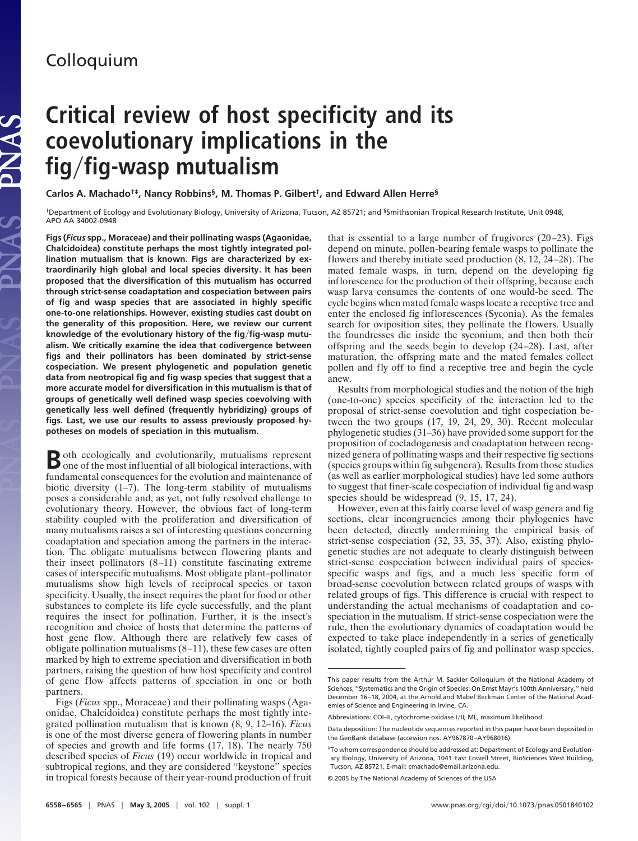# **Colloquium**

NAS

# **Critical review of host specificity and its coevolutionary implications in the figfig-wasp mutualism**

**Carlos A. Machado†‡, Nancy Robbins§, M. Thomas P. Gilbert†, and Edward Allen Herre§**

†Department of Ecology and Evolutionary Biology, University of Arizona, Tucson, AZ 85721; and §Smithsonian Tropical Research Institute, Unit 0948, APO AA 34002-0948

**Figs (***Ficus* **spp., Moraceae) and their pollinating wasps (Agaonidae, Chalcidoidea) constitute perhaps the most tightly integrated pollination mutualism that is known. Figs are characterized by extraordinarily high global and local species diversity. It has been proposed that the diversification of this mutualism has occurred through strict-sense coadaptation and cospeciation between pairs of fig and wasp species that are associated in highly specific one-to-one relationships. However, existing studies cast doubt on the generality of this proposition. Here, we review our current knowledge of the evolutionary history of the figfig-wasp mutualism. We critically examine the idea that codivergence between figs and their pollinators has been dominated by strict-sense cospeciation. We present phylogenetic and population genetic data from neotropical fig and fig wasp species that suggest that a more accurate model for diversification in this mutualism is that of groups of genetically well defined wasp species coevolving with genetically less well defined (frequently hybridizing) groups of figs. Last, we use our results to assess previously proposed hypotheses on models of speciation in this mutualism.**

**B**oth ecologically and evolutionarily, mutualisms represent one of the most influential of all biological interactions, with fundamental consequences for the evolution and maintenance of biotic diversity  $(1-7)$ . The long-term stability of mutualisms poses a considerable and, as yet, not fully resolved challenge to evolutionary theory. However, the obvious fact of long-term stability coupled with the proliferation and diversification of many mutualisms raises a set of interesting questions concerning coadaptation and speciation among the partners in the interaction. The obligate mutualisms between flowering plants and their insect pollinators (8–11) constitute fascinating extreme cases of interspecific mutualisms. Most obligate plant–pollinator mutualisms show high levels of reciprocal species or taxon specificity. Usually, the insect requires the plant for food or other substances to complete its life cycle successfully, and the plant requires the insect for pollination. Further, it is the insect's recognition and choice of hosts that determine the patterns of host gene flow. Although there are relatively few cases of obligate pollination mutualisms (8–11), these few cases are often marked by high to extreme speciation and diversification in both partners, raising the question of how host specificity and control of gene flow affects patterns of speciation in one or both partners.

that is essential to a large number of frugivores (20–23). Figs depend on minute, pollen-bearing female wasps to pollinate the flowers and thereby initiate seed production (8, 12, 24–28). The mated female wasps, in turn, depend on the developing fig inflorescence for the production of their offspring, because each wasp larva consumes the contents of one would-be seed. The cycle begins when mated female wasps locate a receptive tree and enter the enclosed fig inflorescences (Syconia). As the females search for oviposition sites, they pollinate the flowers. Usually the foundresses die inside the syconium, and then both their offspring and the seeds begin to develop (24–28). Last, after maturation, the offspring mate and the mated females collect pollen and fly off to find a receptive tree and begin the cycle anew.

Results from morphological studies and the notion of the high (one-to-one) species specificity of the interaction led to the proposal of strict-sense coevolution and tight cospeciation between the two groups (17, 19, 24, 29, 30). Recent molecular phylogenetic studies (31–36) have provided some support for the proposition of cocladogenesis and coadaptation between recognized genera of pollinating wasps and their respective fig sections (species groups within fig subgenera). Results from those studies (as well as earlier morphological studies) have led some authors to suggest that finer-scale cospeciation of individual fig and wasp species should be widespread (9, 15, 17, 24).

However, even at this fairly coarse level of wasp genera and fig sections, clear incongruencies among their phylogenies have been detected, directly undermining the empirical basis of strict-sense cospeciation (32, 33, 35, 37). Also, existing phylogenetic studies are not adequate to clearly distinguish between strict-sense cospeciation between individual pairs of speciesspecific wasps and figs, and a much less specific form of broad-sense coevolution between related groups of wasps with related groups of figs. This difference is crucial with respect to understanding the actual mechanisms of coadaptation and cospeciation in the mutualism. If strict-sense cospeciation were the rule, then the evolutionary dynamics of coadaptation would be expected to take place independently in a series of genetically isolated, tightly coupled pairs of fig and pollinator wasp species.

Figs (*Ficus* spp., Moraceae) and their pollinating wasps (Agaonidae, Chalcidoidea) constitute perhaps the most tightly integrated pollination mutualism that is known (8, 9, 12–16). *Ficus* is one of the most diverse genera of flowering plants in number of species and growth and life forms (17, 18). The nearly 750 described species of *Ficus* (19) occur worldwide in tropical and subtropical regions, and they are considered ''keystone'' species in tropical forests because of their year-round production of fruit

This paper results from the Arthur M. Sackler Colloquium of the National Academy of Sciences, ''Systematics and the Origin of Species: On Ernst Mayr's 100th Anniversary,'' held December 16–18, 2004, at the Arnold and Mabel Beckman Center of the National Academies of Science and Engineering in Irvine, CA.

Abbreviations: COI-II, cytochrome oxidase I/II; ML, maximum likelihood.

Data deposition: The nucleotide sequences reported in this paper have been deposited in the GenBank database (accession nos. AY967870–AY968016).

<sup>‡</sup>To whom correspondence should be addressed at: Department of Ecology and Evolutionary Biology, University of Arizona, 1041 East Lowell Street, BioSciences West Building, Tucson, AZ 85721. E-mail: cmachado@email.arizona.edu.

<sup>© 2005</sup> by The National Academy of Sciences of the USA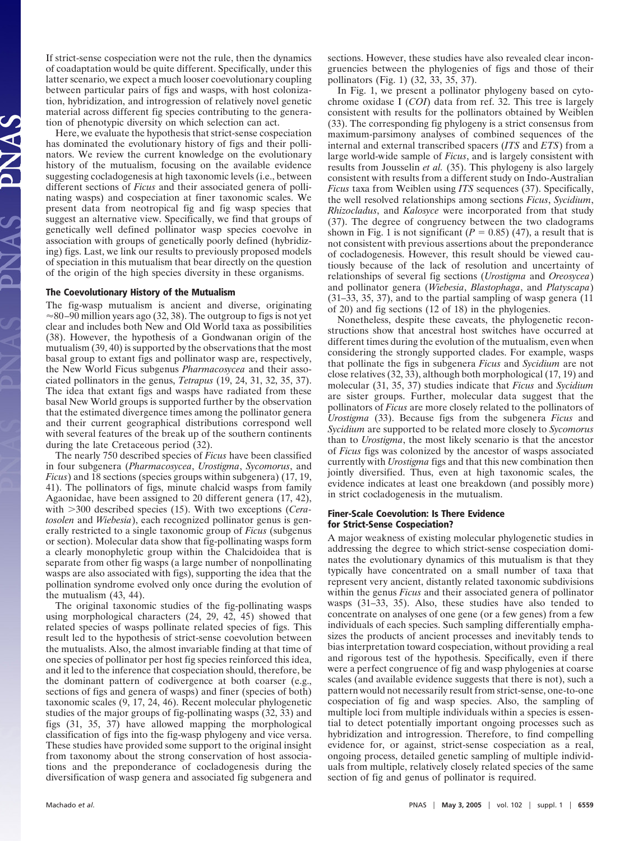If strict-sense cospeciation were not the rule, then the dynamics of coadaptation would be quite different. Specifically, under this latter scenario, we expect a much looser coevolutionary coupling between particular pairs of figs and wasps, with host colonization, hybridization, and introgression of relatively novel genetic material across different fig species contributing to the generation of phenotypic diversity on which selection can act.

Here, we evaluate the hypothesis that strict-sense cospeciation has dominated the evolutionary history of figs and their pollinators. We review the current knowledge on the evolutionary history of the mutualism, focusing on the available evidence suggesting cocladogenesis at high taxonomic levels (i.e., between different sections of *Ficus* and their associated genera of pollinating wasps) and cospeciation at finer taxonomic scales. We present data from neotropical fig and fig wasp species that suggest an alternative view. Specifically, we find that groups of genetically well defined pollinator wasp species coevolve in association with groups of genetically poorly defined (hybridizing) figs. Last, we link our results to previously proposed models of speciation in this mutualism that bear directly on the question of the origin of the high species diversity in these organisms.

#### **The Coevolutionary History of the Mutualism**

The fig-wasp mutualism is ancient and diverse, originating  $\approx$ 80–90 million years ago (32, 38). The outgroup to figs is not yet clear and includes both New and Old World taxa as possibilities (38). However, the hypothesis of a Gondwanan origin of the mutualism (39, 40) is supported by the observations that the most basal group to extant figs and pollinator wasp are, respectively, the New World Ficus subgenus *Pharmacosycea* and their associated pollinators in the genus, *Tetrapus* (19, 24, 31, 32, 35, 37). The idea that extant figs and wasps have radiated from these basal New World groups is supported further by the observation that the estimated divergence times among the pollinator genera and their current geographical distributions correspond well with several features of the break up of the southern continents during the late Cretaceous period (32).

The nearly 750 described species of *Ficus* have been classified in four subgenera (*Pharmacosycea*, *Urostigma*, *Sycomorus*, and *Ficus*) and 18 sections (species groups within subgenera) (17, 19, 41). The pollinators of figs, minute chalcid wasps from family Agaonidae, have been assigned to 20 different genera (17, 42), with  $>$ 300 described species (15). With two exceptions (*Ceratosolen* and *Wiebesia*), each recognized pollinator genus is generally restricted to a single taxonomic group of *Ficus* (subgenus or section). Molecular data show that fig-pollinating wasps form a clearly monophyletic group within the Chalcidoidea that is separate from other fig wasps (a large number of nonpollinating wasps are also associated with figs), supporting the idea that the pollination syndrome evolved only once during the evolution of the mutualism (43, 44).

The original taxonomic studies of the fig-pollinating wasps using morphological characters (24, 29, 42, 45) showed that related species of wasps pollinate related species of figs. This result led to the hypothesis of strict-sense coevolution between the mutualists. Also, the almost invariable finding at that time of one species of pollinator per host fig species reinforced this idea, and it led to the inference that cospeciation should, therefore, be the dominant pattern of codivergence at both coarser (e.g., sections of figs and genera of wasps) and finer (species of both) taxonomic scales (9, 17, 24, 46). Recent molecular phylogenetic studies of the major groups of fig-pollinating wasps (32, 33) and figs (31, 35, 37) have allowed mapping the morphological classification of figs into the fig-wasp phylogeny and vice versa. These studies have provided some support to the original insight from taxonomy about the strong conservation of host associations and the preponderance of cocladogenesis during the diversification of wasp genera and associated fig subgenera and

sections. However, these studies have also revealed clear incongruencies between the phylogenies of figs and those of their pollinators (Fig. 1) (32, 33, 35, 37).

In Fig. 1, we present a pollinator phylogeny based on cytochrome oxidase I (*COI*) data from ref. 32. This tree is largely consistent with results for the pollinators obtained by Weiblen (33). The corresponding fig phylogeny is a strict consensus from maximum-parsimony analyses of combined sequences of the internal and external transcribed spacers (*ITS* and *ETS*) from a large world-wide sample of *Ficus*, and is largely consistent with results from Jousselin *et al.* (35). This phylogeny is also largely consistent with results from a different study on Indo-Australian *Ficus* taxa from Weiblen using *ITS* sequences (37). Specifically, the well resolved relationships among sections *Ficus*, *Sycidium*, *Rhizocladus*, and *Kalosyce* were incorporated from that study (37). The degree of congruency between the two cladograms shown in Fig. 1 is not significant  $(P = 0.85)$  (47), a result that is not consistent with previous assertions about the preponderance of cocladogenesis. However, this result should be viewed cautiously because of the lack of resolution and uncertainty of relationships of several fig sections (*Urostigma* and *Oreosycea*) and pollinator genera (*Wiebesia*, *Blastophaga*, and *Platyscapa*) (31–33, 35, 37), and to the partial sampling of wasp genera (11 of 20) and fig sections (12 of 18) in the phylogenies.

Nonetheless, despite these caveats, the phylogenetic reconstructions show that ancestral host switches have occurred at different times during the evolution of the mutualism, even when considering the strongly supported clades. For example, wasps that pollinate the figs in subgenera *Ficus* and *Sycidium* are not close relatives (32, 33), although both morphological (17, 19) and molecular (31, 35, 37) studies indicate that *Ficus* and *Sycidium* are sister groups. Further, molecular data suggest that the pollinators of *Ficus* are more closely related to the pollinators of *Urostigma* (33). Because figs from the subgenera *Ficus* and *Sycidium* are supported to be related more closely to *Sycomorus* than to *Urostigma*, the most likely scenario is that the ancestor of *Ficus* figs was colonized by the ancestor of wasps associated currently with *Urostigma* figs and that this new combination then jointly diversified. Thus, even at high taxonomic scales, the evidence indicates at least one breakdown (and possibly more) in strict cocladogenesis in the mutualism.

#### **Finer-Scale Coevolution: Is There Evidence for Strict-Sense Cospeciation?**

A major weakness of existing molecular phylogenetic studies in addressing the degree to which strict-sense cospeciation dominates the evolutionary dynamics of this mutualism is that they typically have concentrated on a small number of taxa that represent very ancient, distantly related taxonomic subdivisions within the genus *Ficus* and their associated genera of pollinator wasps (31–33, 35). Also, these studies have also tended to concentrate on analyses of one gene (or a few genes) from a few individuals of each species. Such sampling differentially emphasizes the products of ancient processes and inevitably tends to bias interpretation toward cospeciation, without providing a real and rigorous test of the hypothesis. Specifically, even if there were a perfect congruence of fig and wasp phylogenies at coarse scales (and available evidence suggests that there is not), such a pattern would not necessarily result from strict-sense, one-to-one cospeciation of fig and wasp species. Also, the sampling of multiple loci from multiple individuals within a species is essential to detect potentially important ongoing processes such as hybridization and introgression. Therefore, to find compelling evidence for, or against, strict-sense cospeciation as a real, ongoing process, detailed genetic sampling of multiple individuals from multiple, relatively closely related species of the same section of fig and genus of pollinator is required.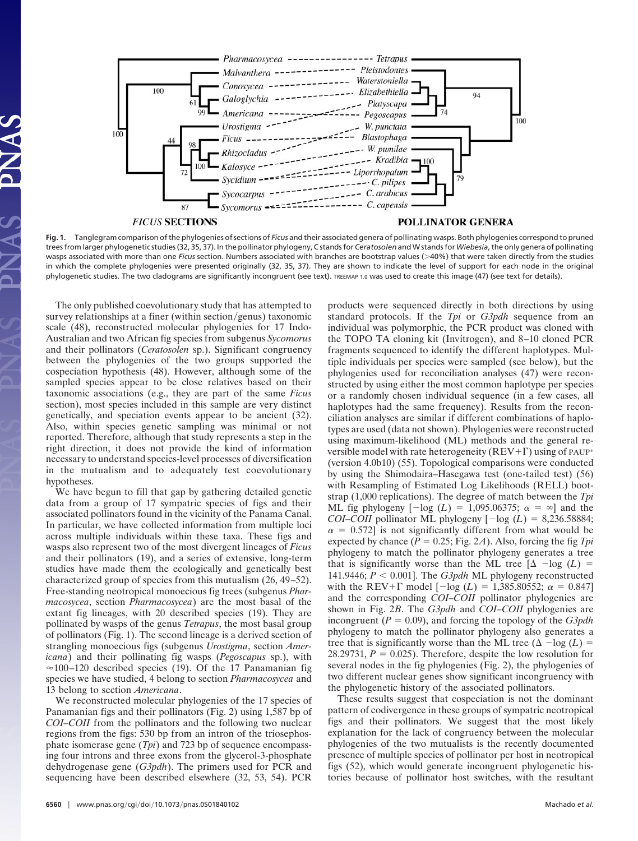

**Fig. 1.** Tanglegram comparison of the phylogenies of sections of *Ficus* and their associated genera of pollinating wasps. Both phylogenies correspond to pruned trees from larger phylogenetic studies (32, 35, 37). In the pollinator phylogeny, C stands for *Ceratosolen* and W stands for*Wiebesia*, the only genera of pollinating wasps associated with more than one *Ficus* section. Numbers associated with branches are bootstrap values (>40%) that were taken directly from the studies in which the complete phylogenies were presented originally (32, 35, 37). They are shown to indicate the level of support for each node in the original phylogenetic studies. The two cladograms are significantly incongruent (see text). TREEMAP 1.0 was used to create this image (47) (see text for details).

The only published coevolutionary study that has attempted to survey relationships at a finer (within section/genus) taxonomic scale (48), reconstructed molecular phylogenies for 17 Indo-Australian and two African fig species from subgenus *Sycomorus* and their pollinators (*Ceratosolen* sp.). Significant congruency between the phylogenies of the two groups supported the cospeciation hypothesis (48). However, although some of the sampled species appear to be close relatives based on their taxonomic associations (e.g., they are part of the same *Ficus* section), most species included in this sample are very distinct genetically, and speciation events appear to be ancient (32). Also, within species genetic sampling was minimal or not reported. Therefore, although that study represents a step in the right direction, it does not provide the kind of information necessary to understand species-level processes of diversification in the mutualism and to adequately test coevolutionary hypotheses.

We have begun to fill that gap by gathering detailed genetic data from a group of 17 sympatric species of figs and their associated pollinators found in the vicinity of the Panama Canal. In particular, we have collected information from multiple loci across multiple individuals within these taxa. These figs and wasps also represent two of the most divergent lineages of *Ficus* and their pollinators (19), and a series of extensive, long-term studies have made them the ecologically and genetically best characterized group of species from this mutualism (26, 49–52). Free-standing neotropical monoecious fig trees (subgenus *Pharmacosycea*, section *Pharmacosycea*) are the most basal of the extant fig lineages, with 20 described species (19). They are pollinated by wasps of the genus *Tetrapus*, the most basal group of pollinators (Fig. 1). The second lineage is a derived section of strangling monoecious figs (subgenus *Urostigma*, section *Americana*) and their pollinating fig wasps (*Pegoscapus* sp.), with  $\approx$ 100–120 described species (19). Of the 17 Panamanian fig species we have studied, 4 belong to section *Pharmacosycea* and 13 belong to section *Americana*.

We reconstructed molecular phylogenies of the 17 species of Panamanian figs and their pollinators (Fig. 2) using 1,587 bp of *COI–COII* from the pollinators and the following two nuclear regions from the figs: 530 bp from an intron of the triosephosphate isomerase gene (*Tpi*) and 723 bp of sequence encompassing four introns and three exons from the glycerol-3-phosphate dehydrogenase gene (*G3pdh*). The primers used for PCR and sequencing have been described elsewhere (32, 53, 54). PCR

products were sequenced directly in both directions by using standard protocols. If the *Tpi* or *G3pdh* sequence from an individual was polymorphic, the PCR product was cloned with the TOPO TA cloning kit (Invitrogen), and 8–10 cloned PCR fragments sequenced to identify the different haplotypes. Multiple individuals per species were sampled (see below), but the phylogenies used for reconciliation analyses (47) were reconstructed by using either the most common haplotype per species or a randomly chosen individual sequence (in a few cases, all haplotypes had the same frequency). Results from the reconciliation analyses are similar if different combinations of haplotypes are used (data not shown). Phylogenies were reconstructed using maximum-likelihood (ML) methods and the general reversible model with rate heterogeneity ( $REV+\Gamma$ ) using of PAUP\* (version 4.0b10) (55). Topological comparisons were conducted by using the Shimodaira–Hasegawa test (one-tailed test) (56) with Resampling of Estimated Log Likelihoods (RELL) bootstrap (1,000 replications). The degree of match between the *Tpi* ML fig phylogeny  $[-\log (L) = 1,095.06375; \alpha = \infty]$  and the *COI–COII* pollinator ML phylogeny  $[-\log (L) = 8,236.58884;$  $\alpha = 0.572$  is not significantly different from what would be expected by chance  $(P = 0.25; Fig. 2A)$ . Also, forcing the fig *Tpi* phylogeny to match the pollinator phylogeny generates a tree that is significantly worse than the ML tree  $[\Delta - \log (L)]$ 141.9446;  $P \le 0.001$ . The *G3pdh* ML phylogeny reconstructed with the REV+ $\Gamma$  model  $[-\log (L) = 1,385.80552; \alpha = 0.847]$ and the corresponding *COI–COII* pollinator phylogenies are shown in Fig. 2*B*. The *G3pdh* and *COI–COII* phylogenies are incongruent ( $P = 0.09$ ), and forcing the topology of the *G3pdh* phylogeny to match the pollinator phylogeny also generates a tree that is significantly worse than the ML tree  $(\Delta - \log (L))$ 28.29731,  $P = 0.025$ ). Therefore, despite the low resolution for several nodes in the fig phylogenies (Fig. 2), the phylogenies of two different nuclear genes show significant incongruency with the phylogenetic history of the associated pollinators.

These results suggest that cospeciation is not the dominant pattern of codivergence in these groups of sympatric neotropical figs and their pollinators. We suggest that the most likely explanation for the lack of congruency between the molecular phylogenies of the two mutualists is the recently documented presence of multiple species of pollinator per host in neotropical figs (52), which would generate incongruent phylogenetic histories because of pollinator host switches, with the resultant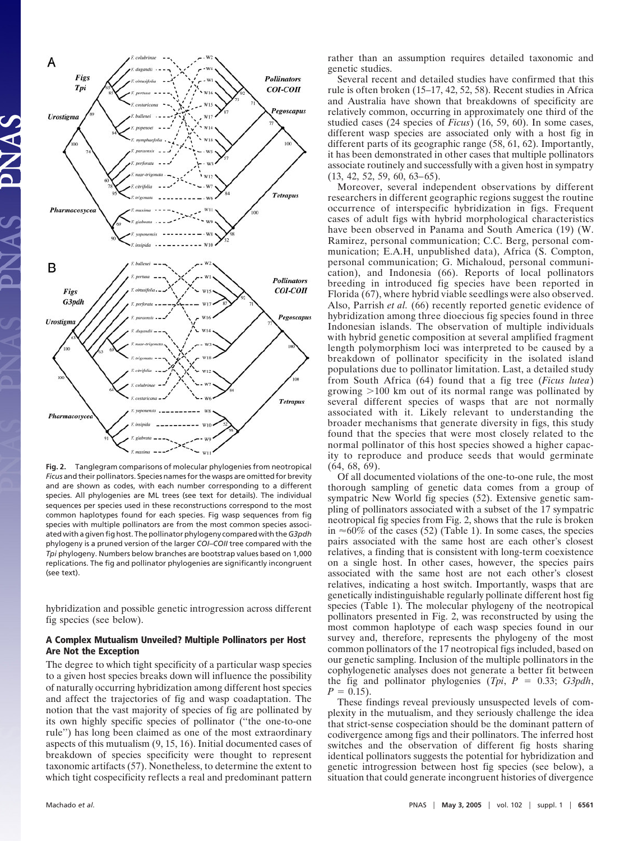

**Fig. 2.** Tanglegram comparisons of molecular phylogenies from neotropical *Ficus* and their pollinators. Species names for the wasps are omitted for brevity and are shown as codes, with each number corresponding to a different species. All phylogenies are ML trees (see text for details). The individual sequences per species used in these reconstructions correspond to the most common haplotypes found for each species. Fig wasp sequences from fig species with multiple pollinators are from the most common species associated with a given fig host. The pollinator phylogeny compared with the *G3pdh* phylogeny is a pruned version of the larger *COI–COII* tree compared with the *Tpi* phylogeny. Numbers below branches are bootstrap values based on 1,000 replications. The fig and pollinator phylogenies are significantly incongruent (see text).

hybridization and possible genetic introgression across different fig species (see below).

## **A Complex Mutualism Unveiled? Multiple Pollinators per Host Are Not the Exception**

The degree to which tight specificity of a particular wasp species to a given host species breaks down will influence the possibility of naturally occurring hybridization among different host species and affect the trajectories of fig and wasp coadaptation. The notion that the vast majority of species of fig are pollinated by its own highly specific species of pollinator (''the one-to-one rule'') has long been claimed as one of the most extraordinary aspects of this mutualism (9, 15, 16). Initial documented cases of breakdown of species specificity were thought to represent taxonomic artifacts (57). Nonetheless, to determine the extent to which tight cospecificity reflects a real and predominant pattern

rather than an assumption requires detailed taxonomic and genetic studies.

Several recent and detailed studies have confirmed that this rule is often broken (15–17, 42, 52, 58). Recent studies in Africa and Australia have shown that breakdowns of specificity are relatively common, occurring in approximately one third of the studied cases (24 species of *Ficus*) (16, 59, 60). In some cases, different wasp species are associated only with a host fig in different parts of its geographic range (58, 61, 62). Importantly, it has been demonstrated in other cases that multiple pollinators associate routinely and successfully with a given host in sympatry (13, 42, 52, 59, 60, 63–65).

Moreover, several independent observations by different researchers in different geographic regions suggest the routine occurrence of interspecific hybridization in figs. Frequent cases of adult figs with hybrid morphological characteristics have been observed in Panama and South America (19) (W. Ramirez, personal communication; C.C. Berg, personal communication; E.A.H, unpublished data), Africa (S. Compton, personal communication; G. Michaloud, personal communication), and Indonesia (66). Reports of local pollinators breeding in introduced fig species have been reported in Florida (67), where hybrid viable seedlings were also observed. Also, Parrish *et al.* (66) recently reported genetic evidence of hybridization among three dioecious fig species found in three Indonesian islands. The observation of multiple individuals with hybrid genetic composition at several amplified fragment length polymorphism loci was interpreted to be caused by a breakdown of pollinator specificity in the isolated island populations due to pollinator limitation. Last, a detailed study from South Africa (64) found that a fig tree (*Ficus lutea*) growing -100 km out of its normal range was pollinated by several different species of wasps that are not normally associated with it. Likely relevant to understanding the broader mechanisms that generate diversity in figs, this study found that the species that were most closely related to the normal pollinator of this host species showed a higher capacity to reproduce and produce seeds that would germinate (64, 68, 69).

Of all documented violations of the one-to-one rule, the most thorough sampling of genetic data comes from a group of sympatric New World fig species (52). Extensive genetic sampling of pollinators associated with a subset of the 17 sympatric neotropical fig species from Fig. 2, shows that the rule is broken in  $\approx 60\%$  of the cases (52) (Table 1). In some cases, the species pairs associated with the same host are each other's closest relatives, a finding that is consistent with long-term coexistence on a single host. In other cases, however, the species pairs associated with the same host are not each other's closest relatives, indicating a host switch. Importantly, wasps that are genetically indistinguishable regularly pollinate different host fig species (Table 1). The molecular phylogeny of the neotropical pollinators presented in Fig. 2, was reconstructed by using the most common haplotype of each wasp species found in our survey and, therefore, represents the phylogeny of the most common pollinators of the 17 neotropical figs included, based on our genetic sampling. Inclusion of the multiple pollinators in the cophylogenetic analyses does not generate a better fit between the fig and pollinator phylogenies  $(Tpi, P = 0.33; G3pdh,$  $P = 0.15$ .

These findings reveal previously unsuspected levels of complexity in the mutualism, and they seriously challenge the idea that strict-sense cospeciation should be the dominant pattern of codivergence among figs and their pollinators. The inferred host switches and the observation of different fig hosts sharing identical pollinators suggests the potential for hybridization and genetic introgression between host fig species (see below), a situation that could generate incongruent histories of divergence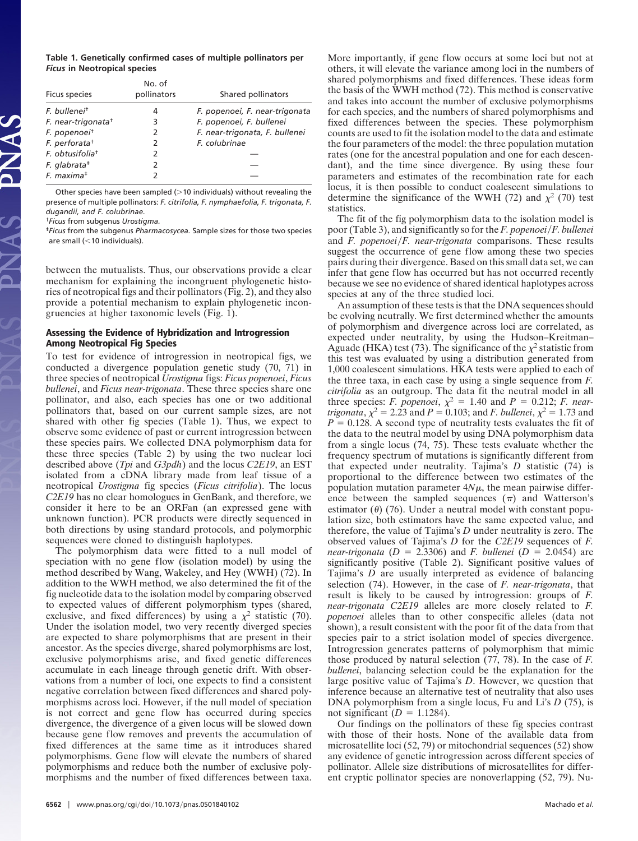| Table 1. Genetically confirmed cases of multiple pollinators per |  |  |  |
|------------------------------------------------------------------|--|--|--|
| Ficus in Neotropical species                                     |  |  |  |

|                                           | No. of      |                                |
|-------------------------------------------|-------------|--------------------------------|
| Ficus species                             | pollinators | Shared pollinators             |
| F. bullenei <sup>+</sup>                  |             | F. popenoei, F. near-trigonata |
| $F.$ near-trigonata <sup>+</sup>          | 3           | F. popenoei, F. bullenei       |
| F. popenoei <sup>+</sup>                  | 2           | F. near-trigonata, F. bullenei |
| $F.$ perforata <sup>+</sup>               | 2           | F. colubrinae                  |
| F. obtusifolia <sup>t</sup>               | 2           |                                |
| $F.$ glabrata <sup><math>\pm</math></sup> |             |                                |
| $F.$ maxima <sup><math>\pm</math></sup>   |             |                                |

Other species have been sampled  $(>10$  individuals) without revealing the presence of multiple pollinators: *F. citrifolia, F. nymphaefolia, F. trigonata, F. dugandii, and F. colubrinae.*

†*Ficus* from subgenus *Urostigma.*

‡*Ficus* from the subgenus *Pharmacosycea.* Sample sizes for those two species are small ( $<$ 10 individuals).

between the mutualists. Thus, our observations provide a clear mechanism for explaining the incongruent phylogenetic histories of neotropical figs and their pollinators (Fig. 2), and they also provide a potential mechanism to explain phylogenetic incongruencies at higher taxonomic levels (Fig. 1).

### **Assessing the Evidence of Hybridization and Introgression Among Neotropical Fig Species**

To test for evidence of introgression in neotropical figs, we conducted a divergence population genetic study (70, 71) in three species of neotropical *Urostigma* figs: *Ficus popenoei*, *Ficus bullenei*, and *Ficus near-trigonata*. These three species share one pollinator, and also, each species has one or two additional pollinators that, based on our current sample sizes, are not shared with other fig species (Table 1). Thus, we expect to observe some evidence of past or current introgression between these species pairs. We collected DNA polymorphism data for these three species (Table 2) by using the two nuclear loci described above (*Tpi* and *G3pdh*) and the locus *C2E19*, an EST isolated from a cDNA library made from leaf tissue of a neotropical *Urostigma* fig species (*Ficus citrifolia*). The locus *C2E19* has no clear homologues in GenBank, and therefore, we consider it here to be an ORFan (an expressed gene with unknown function). PCR products were directly sequenced in both directions by using standard protocols, and polymorphic sequences were cloned to distinguish haplotypes.

The polymorphism data were fitted to a null model of speciation with no gene flow (isolation model) by using the method described by Wang, Wakeley, and Hey (WWH) (72). In addition to the WWH method, we also determined the fit of the fig nucleotide data to the isolation model by comparing observed to expected values of different polymorphism types (shared, exclusive, and fixed differences) by using a  $\chi^2$  statistic (70). Under the isolation model, two very recently diverged species are expected to share polymorphisms that are present in their ancestor. As the species diverge, shared polymorphisms are lost, exclusive polymorphisms arise, and fixed genetic differences accumulate in each lineage through genetic drift. With observations from a number of loci, one expects to find a consistent negative correlation between fixed differences and shared polymorphisms across loci. However, if the null model of speciation is not correct and gene flow has occurred during species divergence, the divergence of a given locus will be slowed down because gene flow removes and prevents the accumulation of fixed differences at the same time as it introduces shared polymorphisms. Gene flow will elevate the numbers of shared polymorphisms and reduce both the number of exclusive polymorphisms and the number of fixed differences between taxa.

More importantly, if gene flow occurs at some loci but not at others, it will elevate the variance among loci in the numbers of shared polymorphisms and fixed differences. These ideas form the basis of the WWH method (72). This method is conservative and takes into account the number of exclusive polymorphisms for each species, and the numbers of shared polymorphisms and fixed differences between the species. These polymorphism counts are used to fit the isolation model to the data and estimate the four parameters of the model: the three population mutation rates (one for the ancestral population and one for each descendant), and the time since divergence. By using these four parameters and estimates of the recombination rate for each locus, it is then possible to conduct coalescent simulations to determine the significance of the WWH (72) and  $\chi^2$  (70) test statistics.

The fit of the fig polymorphism data to the isolation model is poor (Table 3), and significantly so for the *F. popenoeiF. bullenei* and *F. popenoeiF. near-trigonata* comparisons. These results suggest the occurrence of gene flow among these two species pairs during their divergence. Based on this small data set, we can infer that gene flow has occurred but has not occurred recently because we see no evidence of shared identical haplotypes across species at any of the three studied loci.

An assumption of these tests is that the DNA sequences should be evolving neutrally. We first determined whether the amounts of polymorphism and divergence across loci are correlated, as expected under neutrality, by using the Hudson–Kreitman– Aguade (HKA) test (73). The significance of the  $\chi^2$  statistic from this test was evaluated by using a distribution generated from 1,000 coalescent simulations. HKA tests were applied to each of the three taxa, in each case by using a single sequence from *F. citrifolia* as an outgroup. The data fit the neutral model in all three species: *F. popenoei*,  $\chi^2 = 1.40$  and  $P = 0.212$ ; *F. neartrigonata,*  $\chi^2 = 2.23$  and  $P = 0.103$ ; and *F. bullenei*,  $\chi^2 = 1.73$  and  $P = 0.128$ . A second type of neutrality tests evaluates the fit of the data to the neutral model by using DNA polymorphism data from a single locus (74, 75). These tests evaluate whether the frequency spectrum of mutations is significantly different from that expected under neutrality. Tajima's *D* statistic (74) is proportional to the difference between two estimates of the population mutation parameter  $4N\mu$ , the mean pairwise difference between the sampled sequences  $(\pi)$  and Watterson's estimator  $(\theta)$  (76). Under a neutral model with constant population size, both estimators have the same expected value, and therefore, the value of Tajima's *D* under neutrality is zero. The observed values of Tajima's *D* for the *C2E19* sequences of *F. near-trigonata* ( $D = 2.3306$ ) and *F. bullenei* ( $D = 2.0454$ ) are significantly positive (Table 2). Significant positive values of Tajima's *D* are usually interpreted as evidence of balancing selection (74). However, in the case of *F. near-trigonata*, that result is likely to be caused by introgression: groups of *F. near-trigonata C2E19* alleles are more closely related to *F. popenoei* alleles than to other conspecific alleles (data not shown), a result consistent with the poor fit of the data from that species pair to a strict isolation model of species divergence. Introgression generates patterns of polymorphism that mimic those produced by natural selection (77, 78). In the case of *F. bullenei*, balancing selection could be the explanation for the large positive value of Tajima's *D*. However, we question that inference because an alternative test of neutrality that also uses DNA polymorphism from a single locus, Fu and Li's *D* (75), is not significant  $(D = 1.1284)$ .

Our findings on the pollinators of these fig species contrast with those of their hosts. None of the available data from microsatellite loci (52, 79) or mitochondrial sequences (52) show any evidence of genetic introgression across different species of pollinator. Allele size distributions of microsatellites for different cryptic pollinator species are nonoverlapping (52, 79). Nu-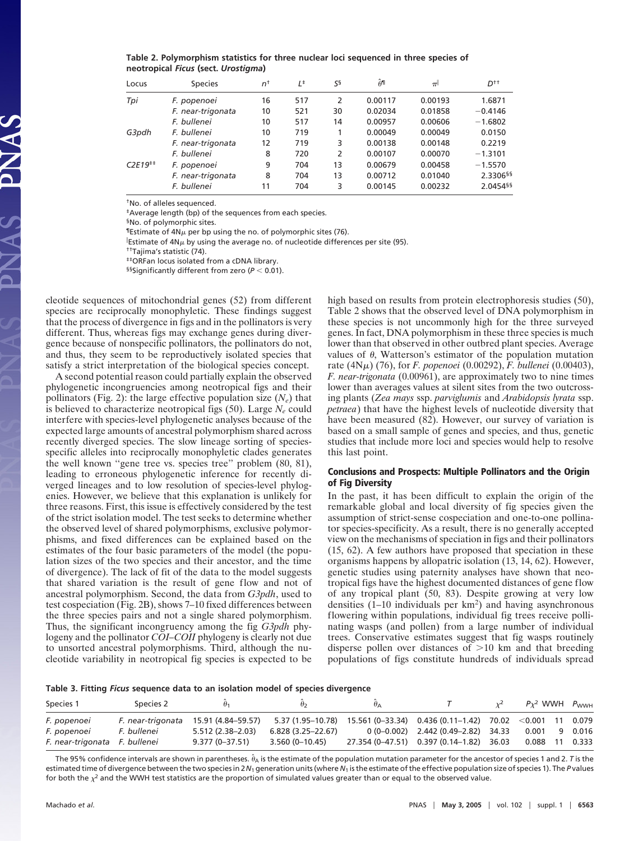**Table 2. Polymorphism statistics for three nuclear loci sequenced in three species of neotropical** *Ficus* **(sect.** *Urostigma***)**

| Locus        | <b>Species</b>    | $n^{\dagger}$ | L‡  | Sδ            | $\hat{\theta}$ ¶ | $\pi$   | $D^{++}$  |
|--------------|-------------------|---------------|-----|---------------|------------------|---------|-----------|
| Tpi          | F. popenoei       | 16            | 517 | $\mathcal{P}$ | 0.00117          | 0.00193 | 1.6871    |
|              | F. near-trigonata | 10            | 521 | 30            | 0.02034          | 0.01858 | $-0.4146$ |
|              | F. bullenei       | 10            | 517 | 14            | 0.00957          | 0.00606 | $-1.6802$ |
| G3pdh        | F. bullenei       | 10            | 719 |               | 0.00049          | 0.00049 | 0.0150    |
|              | F. near-trigonata | 12            | 719 | 3             | 0.00138          | 0.00148 | 0.2219    |
|              | F. bullenei       | 8             | 720 | 2             | 0.00107          | 0.00070 | $-1.3101$ |
| $C2E19^{++}$ | F. popenoei       | 9             | 704 | 13            | 0.00679          | 0.00458 | $-1.5570$ |
|              | F. near-trigonata | 8             | 704 | 13            | 0.00712          | 0.01040 | 2.3306 \$ |
|              | F. bullenei       | 11            | 704 | 3             | 0.00145          | 0.00232 | 2.0454 \$ |

†No. of alleles sequenced.

‡Average length (bp) of the sequences from each species.

§No. of polymorphic sites.

**IEstimate of 4N** $\mu$  per bp using the no. of polymorphic sites (76).

 $\mathbb I$ Estimate of 4N $\mu$  by using the average no. of nucleotide differences per site (95).

††Tajima's statistic (74).

‡‡ORFan locus isolated from a cDNA library.

§§Significantly different from zero ( $P < 0.01$ ).

cleotide sequences of mitochondrial genes (52) from different species are reciprocally monophyletic. These findings suggest that the process of divergence in figs and in the pollinators is very different. Thus, whereas figs may exchange genes during divergence because of nonspecific pollinators, the pollinators do not, and thus, they seem to be reproductively isolated species that satisfy a strict interpretation of the biological species concept.

A second potential reason could partially explain the observed phylogenetic incongruencies among neotropical figs and their pollinators (Fig. 2): the large effective population size  $(N_e)$  that is believed to characterize neotropical figs (50). Large *Ne* could interfere with species-level phylogenetic analyses because of the expected large amounts of ancestral polymorphism shared across recently diverged species. The slow lineage sorting of speciesspecific alleles into reciprocally monophyletic clades generates the well known ''gene tree vs. species tree'' problem (80, 81), leading to erroneous phylogenetic inference for recently diverged lineages and to low resolution of species-level phylogenies. However, we believe that this explanation is unlikely for three reasons. First, this issue is effectively considered by the test of the strict isolation model. The test seeks to determine whether the observed level of shared polymorphisms, exclusive polymorphisms, and fixed differences can be explained based on the estimates of the four basic parameters of the model (the population sizes of the two species and their ancestor, and the time of divergence). The lack of fit of the data to the model suggests that shared variation is the result of gene flow and not of ancestral polymorphism. Second, the data from *G3pdh*, used to test cospeciation (Fig. 2B), shows 7–10 fixed differences between the three species pairs and not a single shared polymorphism. Thus, the significant incongruency among the fig *G3pdh* phylogeny and the pollinator *COI–COII* phylogeny is clearly not due to unsorted ancestral polymorphisms. Third, although the nucleotide variability in neotropical fig species is expected to be high based on results from protein electrophoresis studies (50), Table 2 shows that the observed level of DNA polymorphism in these species is not uncommonly high for the three surveyed genes. In fact, DNA polymorphism in these three species is much lower than that observed in other outbred plant species. Average values of  $\theta$ , Watterson's estimator of the population mutation rate (4N $\mu$ ) (76), for *F. popenoei* (0.00292), *F. bullenei* (0.00403), *F. near-trigonata* (0.00961), are approximately two to nine times lower than averages values at silent sites from the two outcrossing plants (*Zea mays* ssp. *parviglumis* and *Arabidopsis lyrata* ssp. *petraea*) that have the highest levels of nucleotide diversity that have been measured (82). However, our survey of variation is based on a small sample of genes and species, and thus, genetic studies that include more loci and species would help to resolve this last point.

#### **Conclusions and Prospects: Multiple Pollinators and the Origin of Fig Diversity**

In the past, it has been difficult to explain the origin of the remarkable global and local diversity of fig species given the assumption of strict-sense cospeciation and one-to-one pollinator species-specificity. As a result, there is no generally accepted view on the mechanisms of speciation in figs and their pollinators (15, 62). A few authors have proposed that speciation in these organisms happens by allopatric isolation (13, 14, 62). However, genetic studies using paternity analyses have shown that neotropical figs have the highest documented distances of gene flow of any tropical plant (50, 83). Despite growing at very low densities  $(1-10$  individuals per km<sup>2</sup>) and having asynchronous flowering within populations, individual fig trees receive pollinating wasps (and pollen) from a large number of individual trees. Conservative estimates suggest that fig wasps routinely disperse pollen over distances of  $>10$  km and that breeding populations of figs constitute hundreds of individuals spread

**Table 3. Fitting** *Ficus* **sequence data to an isolation model of species divergence**

| Species 1                     | Species 2         | $\theta_1$         | $\theta$                                                                                       | $\theta_{\Lambda}$ |                                            | $P_X^2$ WWH $P_{WWH}$ |  |
|-------------------------------|-------------------|--------------------|------------------------------------------------------------------------------------------------|--------------------|--------------------------------------------|-----------------------|--|
| F. popenoei                   | F. near-trigonata |                    | 15.91 (4.84–59.57) 5.37 (1.95–10.78) 15.561 (0–33.34) 0.436 (0.11–1.42) 70.02 < 0.001 11 0.079 |                    |                                            |                       |  |
| F. popenoei                   | F. bullenei       | 5.512 (2.38–2.03)  | 6.828 (3.25–22.67)                                                                             |                    | $0(0-0.002)$ 2.442 $(0.49-2.82)$ 34.33     | 0.001 9 0.016         |  |
| F. near-trigonata F. bullenei |                   | $9.377(0 - 37.51)$ | $3.560(0-10.45)$                                                                               |                    | 27.354 (0-47.51)  0.397 (0.14-1.82)  36.03 | 0.088 11 0.333        |  |

The 95% confidence intervals are shown in parentheses.  $\hat{\theta}_A$  is the estimate of the population mutation parameter for the ancestor of species 1 and 2. *T* is the estimated time of divergence between the two species in 2*N*<sup>1</sup> generation units (where *N*<sup>1</sup> is the estimate of the effective population size of species 1). The *P* values for both the  $\chi^2$  and the WWH test statistics are the proportion of simulated values greater than or equal to the observed value.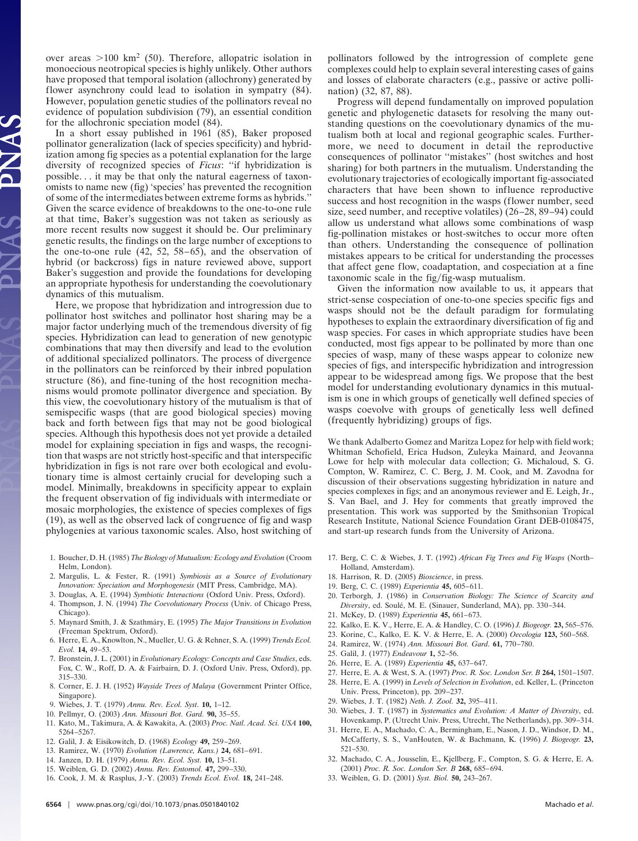over areas  $>100$  km<sup>2</sup> (50). Therefore, allopatric isolation in monoecious neotropical species is highly unlikely. Other authors have proposed that temporal isolation (allochrony) generated by flower asynchrony could lead to isolation in sympatry (84). However, population genetic studies of the pollinators reveal no evidence of population subdivision (79), an essential condition for the allochronic speciation model (84).

In a short essay published in 1961 (85), Baker proposed pollinator generalization (lack of species specificity) and hybridization among fig species as a potential explanation for the large diversity of recognized species of *Ficus*: ''if hybridization is possible. . . it may be that only the natural eagerness of taxonomists to name new (fig) 'species' has prevented the recognition of some of the intermediates between extreme forms as hybrids.'' Given the scarce evidence of breakdowns to the one-to-one rule at that time, Baker's suggestion was not taken as seriously as more recent results now suggest it should be. Our preliminary genetic results, the findings on the large number of exceptions to the one-to-one rule (42, 52, 58–65), and the observation of hybrid (or backcross) figs in nature reviewed above, support Baker's suggestion and provide the foundations for developing an appropriate hypothesis for understanding the coevolutionary dynamics of this mutualism.

Here, we propose that hybridization and introgression due to pollinator host switches and pollinator host sharing may be a major factor underlying much of the tremendous diversity of fig species. Hybridization can lead to generation of new genotypic combinations that may then diversify and lead to the evolution of additional specialized pollinators. The process of divergence in the pollinators can be reinforced by their inbred population structure (86), and fine-tuning of the host recognition mechanisms would promote pollinator divergence and speciation. By this view, the coevolutionary history of the mutualism is that of semispecific wasps (that are good biological species) moving back and forth between figs that may not be good biological species. Although this hypothesis does not yet provide a detailed model for explaining speciation in figs and wasps, the recognition that wasps are not strictly host-specific and that interspecific hybridization in figs is not rare over both ecological and evolutionary time is almost certainly crucial for developing such a model. Minimally, breakdowns in specificity appear to explain the frequent observation of fig individuals with intermediate or mosaic morphologies, the existence of species complexes of figs (19), as well as the observed lack of congruence of fig and wasp phylogenies at various taxonomic scales. Also, host switching of

- 1. Boucher, D. H. (1985) *The Biology of Mutualism: Ecology and Evolution* (Croom Helm, London).
- 2. Margulis, L. & Fester, R. (1991) *Symbiosis as a Source of Evolutionary Innovation: Speciation and Morphogenesis* (MIT Press, Cambridge, MA).
- 3. Douglas, A. E. (1994) *Symbiotic Interactions* (Oxford Univ. Press, Oxford).
- 4. Thompson, J. N. (1994) *The Coevolutionary Process* (Univ. of Chicago Press, Chicago).
- 5. Maynard Smith, J. & Szathma´ry, E. (1995) *The Major Transitions in Evolution* (Freeman Spektrum, Oxford).
- 6. Herre, E. A., Knowlton, N., Mueller, U. G. & Rehner, S. A. (1999) *Trends Ecol. Evol.* **14,** 49–53.
- 7. Bronstein, J. L. (2001) in *Evolutionary Ecology: Concepts and Case Studies*, eds. Fox, C. W., Roff, D. A. & Fairbairn, D. J. (Oxford Univ. Press, Oxford), pp. 315–330.
- 8. Corner, E. J. H. (1952) *Wayside Trees of Malaya* (Government Printer Office, Singapore).
- 9. Wiebes, J. T. (1979) *Annu. Rev. Ecol. Syst.* **10,** 1–12.
- 10. Pellmyr, O. (2003) *Ann. Missouri Bot. Gard.* **90,** 35–55.
- 11. Kato, M., Takimura, A. & Kawakita, A. (2003) *Proc. Natl. Acad. Sci. USA* **100,** 5264–5267.
- 12. Galil, J. & Eisikowitch, D. (1968) *Ecology* **49,** 259–269.
- 13. Ramirez, W. (1970) *Evolution (Lawrence, Kans.)* **24,** 681–691.
- 14. Janzen, D. H. (1979) *Annu. Rev. Ecol. Syst.* **10,** 13–51.
- 15. Weiblen, G. D. (2002) *Annu. Rev. Entomol.* **47,** 299–330.
- 16. Cook, J. M. & Rasplus, J.-Y. (2003) *Trends Ecol. Evol.* **18,** 241–248.

pollinators followed by the introgression of complete gene complexes could help to explain several interesting cases of gains and losses of elaborate characters (e.g., passive or active pollination) (32, 87, 88).

Progress will depend fundamentally on improved population genetic and phylogenetic datasets for resolving the many outstanding questions on the coevolutionary dynamics of the mutualism both at local and regional geographic scales. Furthermore, we need to document in detail the reproductive consequences of pollinator ''mistakes'' (host switches and host sharing) for both partners in the mutualism. Understanding the evolutionary trajectories of ecologically important fig-associated characters that have been shown to influence reproductive success and host recognition in the wasps (flower number, seed size, seed number, and receptive volatiles) (26–28, 89–94) could allow us understand what allows some combinations of wasp fig-pollination mistakes or host-switches to occur more often than others. Understanding the consequence of pollination mistakes appears to be critical for understanding the processes that affect gene flow, coadaptation, and cospeciation at a fine taxonomic scale in the fig/fig-wasp mutualism.

Given the information now available to us, it appears that strict-sense cospeciation of one-to-one species specific figs and wasps should not be the default paradigm for formulating hypotheses to explain the extraordinary diversification of fig and wasp species. For cases in which appropriate studies have been conducted, most figs appear to be pollinated by more than one species of wasp, many of these wasps appear to colonize new species of figs, and interspecific hybridization and introgression appear to be widespread among figs. We propose that the best model for understanding evolutionary dynamics in this mutualism is one in which groups of genetically well defined species of wasps coevolve with groups of genetically less well defined (frequently hybridizing) groups of figs.

We thank Adalberto Gomez and Maritza Lopez for help with field work; Whitman Schofield, Erica Hudson, Zuleyka Mainard, and Jeovanna Lowe for help with molecular data collection; G. Michaloud, S. G. Compton, W. Ramirez, C. C. Berg, J. M. Cook, and M. Zavodna for discussion of their observations suggesting hybridization in nature and species complexes in figs; and an anonymous reviewer and E. Leigh, Jr., S. Van Bael, and J. Hey for comments that greatly improved the presentation. This work was supported by the Smithsonian Tropical Research Institute, National Science Foundation Grant DEB-0108475, and start-up research funds from the University of Arizona.

- 17. Berg, C. C. & Wiebes, J. T. (1992) *African Fig Trees and Fig Wasps* (North– Holland, Amsterdam).
- 18. Harrison, R. D. (2005) *Bioscience*, in press.
- 19. Berg, C. C. (1989) *Experientia* **45,** 605–611.
- 20. Terborgh, J. (1986) in *Conservation Biology: The Science of Scarcity and Diversity*, ed. Soule´, M. E. (Sinauer, Sunderland, MA), pp. 330–344.
- 21. McKey, D. (1989) *Experientia* **45,** 661–673.
- 22. Kalko, E. K. V., Herre, E. A. & Handley, C. O. (1996) *J. Biogeogr.* **23,** 565–576.
- 23. Korine, C., Kalko, E. K. V. & Herre, E. A. (2000) *Oecologia* **123,** 560–568.
- 24. Ramirez, W. (1974) *Ann. Missouri Bot. Gard.* **61,** 770–780.
- 25. Galil, J. (1977) *Endeavour* **1,** 52–56.
- 26. Herre, E. A. (1989) *Experientia* **45,** 637–647.
- 27. Herre, E. A. & West, S. A. (1997) *Proc. R. Soc. London Ser. B* **264,** 1501–1507.
- 28. Herre, E. A. (1999) in *Levels of Selection in Evolution*, ed. Keller, L. (Princeton Univ. Press, Princeton), pp. 209–237.
- 29. Wiebes, J. T. (1982) *Neth. J. Zool.* **32,** 395–411.
- 30. Wiebes, J. T. (1987) in *Systematics and Evolution: A Matter of Diversity*, ed. Hovenkamp, P. (Utrecht Univ. Press, Utrecht, The Netherlands), pp. 309–314.
- 31. Herre, E. A., Machado, C. A., Bermingham, E., Nason, J. D., Windsor, D. M., McCafferty, S. S., VanHouten, W. & Bachmann, K. (1996) *J. Biogeogr.* **23,** 521–530.
- 32. Machado, C. A., Jousselin, E., Kjellberg, F., Compton, S. G. & Herre, E. A. (2001) *Proc. R. Soc. London Ser. B* **268,** 685–694.
- 33. Weiblen, G. D. (2001) *Syst. Biol.* **50,** 243–267.